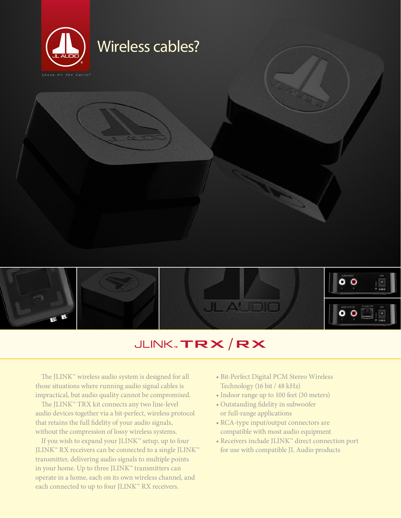



# JLINK TRX/RX

The JLINK™ wireless audio system is designed for all those situations where running audio signal cables is impractical, but audio quality cannot be compromised.

The JLINK™ TRX kit connects any two line-level audio devices together via a bit-perfect, wireless protocol that retains the full fidelity of your audio signals, without the compression of lossy wireless systems.

If you wish to expand your JLINK™ setup, up to four JLINK™ RX receivers can be connected to a single JLINK™ transmitter, delivering audio signals to multiple points in your home. Up to three JLINK™ transmitters can operate in a home, each on its own wireless channel, and each connected to up to four JLINK™ RX receivers.

- Bit-Perfect Digital PCM Stereo Wireless Technology (16 bit / 48 kHz)
- Indoor range up to 100 feet (30 meters)
- Outstanding fidelity in subwoofer or full-range applications
- RCA-type input/output connectors are compatible with most audio equipment
- Receivers include JLINK™ direct connection port for use with compatible JL Audio products